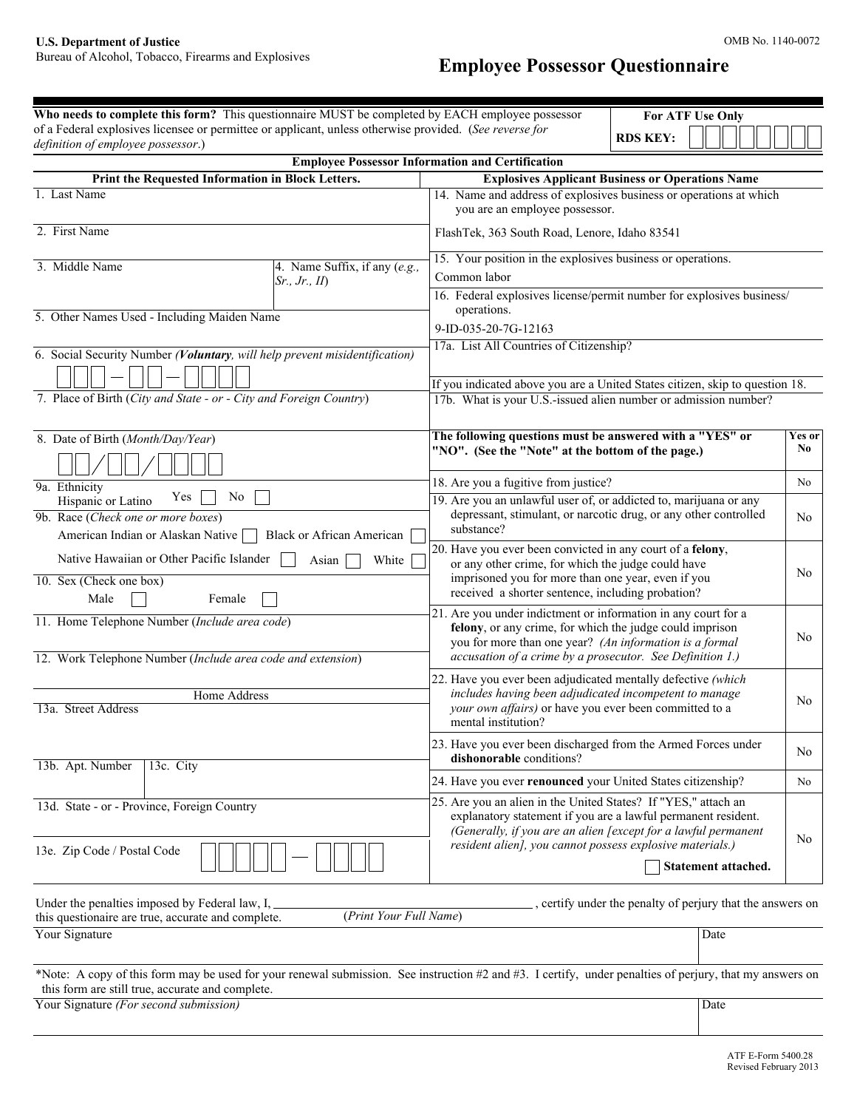# **Employee Possessor Questionnaire**

| Who needs to complete this form? This questionnaire MUST be completed by EACH employee possessor                                                                                                             | <b>For ATF Use Only</b>                                                                                                                                                                                                                                        |                |
|--------------------------------------------------------------------------------------------------------------------------------------------------------------------------------------------------------------|----------------------------------------------------------------------------------------------------------------------------------------------------------------------------------------------------------------------------------------------------------------|----------------|
| of a Federal explosives licensee or permittee or applicant, unless otherwise provided. (See reverse for<br>definition of employee possessor.)                                                                | <b>RDS KEY:</b>                                                                                                                                                                                                                                                |                |
| <b>Employee Possessor Information and Certification</b>                                                                                                                                                      |                                                                                                                                                                                                                                                                |                |
| Print the Requested Information in Block Letters.<br><b>Explosives Applicant Business or Operations Name</b>                                                                                                 |                                                                                                                                                                                                                                                                |                |
| 1. Last Name                                                                                                                                                                                                 | 14. Name and address of explosives business or operations at which<br>you are an employee possessor.                                                                                                                                                           |                |
| 2. First Name                                                                                                                                                                                                | FlashTek, 363 South Road, Lenore, Idaho 83541                                                                                                                                                                                                                  |                |
| 3. Middle Name<br>4. Name Suffix, if any $(e.g.,$<br>Sr., Jr., II)                                                                                                                                           | 15. Your position in the explosives business or operations.<br>Common labor<br>16. Federal explosives license/permit number for explosives business/                                                                                                           |                |
| 5. Other Names Used - Including Maiden Name                                                                                                                                                                  | operations.<br>9-ID-035-20-7G-12163                                                                                                                                                                                                                            |                |
| 6. Social Security Number (Voluntary, will help prevent misidentification)                                                                                                                                   | 17a. List All Countries of Citizenship?                                                                                                                                                                                                                        |                |
| 7. Place of Birth (City and State - or - City and Foreign Country)                                                                                                                                           | If you indicated above you are a United States citizen, skip to question 18.<br>17b. What is your U.S.-issued alien number or admission number?                                                                                                                |                |
| 8. Date of Birth (Month/Day/Year)                                                                                                                                                                            | The following questions must be answered with a "YES" or<br>"NO". (See the "Note" at the bottom of the page.)                                                                                                                                                  | Yes or<br>N0   |
| 9a. Ethnicity                                                                                                                                                                                                | 18. Are you a fugitive from justice?                                                                                                                                                                                                                           | No             |
| Yes<br>No<br>Hispanic or Latino<br>9b. Race (Check one or more boxes)<br>American Indian or Alaskan Native<br><b>Black or African American</b>                                                               | 19. Are you an unlawful user of, or addicted to, marijuana or any<br>depressant, stimulant, or narcotic drug, or any other controlled<br>substance?                                                                                                            | No.            |
| Native Hawaiian or Other Pacific Islander<br>White<br>Asian<br>10. Sex (Check one box)<br>Male<br>Female                                                                                                     | 20. Have you ever been convicted in any court of a felony,<br>or any other crime, for which the judge could have<br>imprisoned you for more than one year, even if you<br>received a shorter sentence, including probation?                                    | N <sub>0</sub> |
| 11. Home Telephone Number (Include area code)<br>12. Work Telephone Number (Include area code and extension)                                                                                                 | 21. Are you under indictment or information in any court for a<br>felony, or any crime, for which the judge could imprison<br>you for more than one year? (An information is a formal<br>accusation of a crime by a prosecutor. See Definition 1.)             | N <sub>0</sub> |
| <b>Home Address</b>                                                                                                                                                                                          | 22. Have you ever been adjudicated mentally defective (which<br>includes having been adjudicated incompetent to manage                                                                                                                                         |                |
| 13a. Street Address                                                                                                                                                                                          | your own affairs) or have you ever been committed to a<br>mental institution?                                                                                                                                                                                  | No.            |
| 13b. Apt. Number<br>13c. City                                                                                                                                                                                | 23. Have you ever been discharged from the Armed Forces under<br>dishonorable conditions?                                                                                                                                                                      | No.            |
|                                                                                                                                                                                                              | 24. Have you ever renounced your United States citizenship?                                                                                                                                                                                                    | No             |
| 13d. State - or - Province, Foreign Country<br>13e. Zip Code / Postal Code                                                                                                                                   | 25. Are you an alien in the United States? If "YES," attach an<br>explanatory statement if you are a lawful permanent resident.<br>(Generally, if you are an alien [except for a lawful permanent<br>resident alien], you cannot possess explosive materials.) | No.            |
|                                                                                                                                                                                                              | Statement attached.                                                                                                                                                                                                                                            |                |
| Under the penalties imposed by Federal law, I,<br>(Print Your Full Name)<br>this questionaire are true, accurate and complete.                                                                               | , certify under the penalty of perjury that the answers on                                                                                                                                                                                                     |                |
| Your Signature                                                                                                                                                                                               | Date                                                                                                                                                                                                                                                           |                |
| *Note: A copy of this form may be used for your renewal submission. See instruction #2 and #3. I certify, under penalties of perjury, that my answers on<br>this form are still true, accurate and complete. |                                                                                                                                                                                                                                                                |                |
| Your Signature (For second submission)                                                                                                                                                                       | Date                                                                                                                                                                                                                                                           |                |